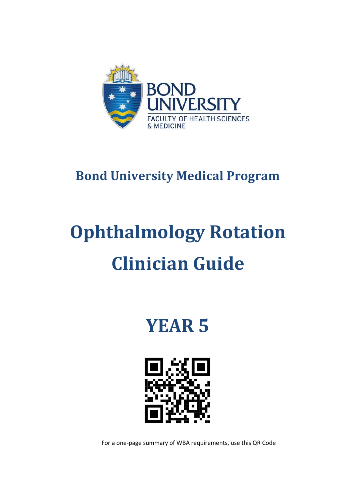

# **Bond University Medical Program**

# **Ophthalmology Rotation Clinician Guide**

**YEAR 5**



For a one-page summary of WBA requirements, use this QR Code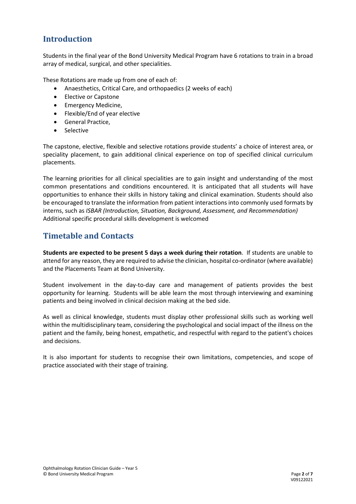# **Introduction**

Students in the final year of the Bond University Medical Program have 6 rotations to train in a broad array of medical, surgical, and other specialities.

These Rotations are made up from one of each of:

- Anaesthetics, Critical Care, and orthopaedics (2 weeks of each)
- Elective or Capstone
- Emergency Medicine,
- Flexible/End of year elective
- General Practice,
- Selective

The capstone, elective, flexible and selective rotations provide students' a choice of interest area, or speciality placement, to gain additional clinical experience on top of specified clinical curriculum placements.

The learning priorities for all clinical specialities are to gain insight and understanding of the most common presentations and conditions encountered. It is anticipated that all students will have opportunities to enhance their skills in history taking and clinical examination. Students should also be encouraged to translate the information from patient interactions into commonly used formats by interns, such as *ISBAR (Introduction, Situation, Background, Assessment, and Recommendation)* Additional specific procedural skills development is welcomed

## **Timetable and Contacts**

**Students are expected to be present 5 days a week during their rotation**. If students are unable to attend for any reason, they are required to advise the clinician, hospital co-ordinator (where available) and the Placements Team at Bond University.

Student involvement in the day-to-day care and management of patients provides the best opportunity for learning. Students will be able learn the most through interviewing and examining patients and being involved in clinical decision making at the bed side.

As well as clinical knowledge, students must display other professional skills such as working well within the multidisciplinary team, considering the psychological and social impact of the illness on the patient and the family, being honest, empathetic, and respectful with regard to the patient's choices and decisions.

It is also important for students to recognise their own limitations, competencies, and scope of practice associated with their stage of training.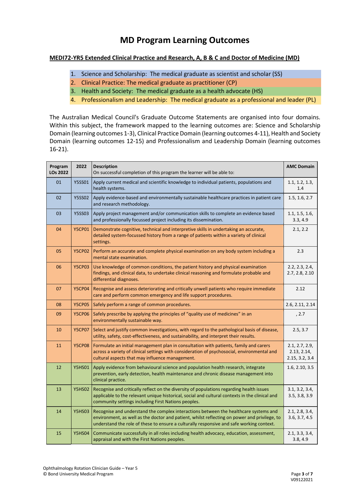# **MD Program Learning Outcomes**

#### **MEDI72-YR5 Extended Clinical Practice and Research, A, B & C and Doctor of Medicine (MD)**

- 1. Science and Scholarship: The medical graduate as scientist and scholar (SS)
- 2. Clinical Practice: The medical graduate as practitioner (CP)
- 3. Health and Society: The medical graduate as a health advocate (HS)
- 4. Professionalism and Leadership: The medical graduate as a professional and leader (PL)

The Australian Medical Council's Graduate Outcome Statements are organised into four domains. Within this subject, the framework mapped to the learning outcomes are: Science and Scholarship Domain (learning outcomes 1-3), Clinical Practice Domain (learning outcomes 4-11), Health and Society Domain (learning outcomes 12-15) and Professionalism and Leadership Domain (learning outcomes 16-21).

| Program<br><b>LOs 2022</b> | 2022          | Description<br>On successful completion of this program the learner will be able to:                                                                                                                                                                                             | <b>AMC Domain</b>                               |
|----------------------------|---------------|----------------------------------------------------------------------------------------------------------------------------------------------------------------------------------------------------------------------------------------------------------------------------------|-------------------------------------------------|
| 01                         | <b>Y5SS01</b> | Apply current medical and scientific knowledge to individual patients, populations and<br>health systems.                                                                                                                                                                        | 1.1, 1.2, 1.3,<br>1.4                           |
| 02                         | <b>Y5SS02</b> | Apply evidence-based and environmentally sustainable healthcare practices in patient care<br>and research methodology.                                                                                                                                                           | 1.5, 1.6, 2.7                                   |
| 03                         | <b>Y5SS03</b> | Apply project management and/or communication skills to complete an evidence based<br>and professionally focussed project including its dissemination.                                                                                                                           | 1.1, 1.5, 1.6,<br>3.3, 4.9                      |
| 04                         | <b>Y5CP01</b> | Demonstrate cognitive, technical and interpretive skills in undertaking an accurate,<br>detailed system-focussed history from a range of patients within a variety of clinical<br>settings.                                                                                      | 2.1, 2.2                                        |
| 05                         | <b>Y5CP02</b> | Perform an accurate and complete physical examination on any body system including a<br>mental state examination.                                                                                                                                                                | 2.3                                             |
| 06                         | <b>Y5CP03</b> | Use knowledge of common conditions, the patient history and physical examination<br>findings, and clinical data, to undertake clinical reasoning and formulate probable and<br>differential diagnoses.                                                                           | 2.2, 2.3, 2.4,<br>2.7, 2.8, 2.10                |
| 07                         | <b>Y5CP04</b> | Recognise and assess deteriorating and critically unwell patients who require immediate<br>care and perform common emergency and life support procedures.                                                                                                                        | 2.12                                            |
| 08                         | <b>Y5CP05</b> | Safely perform a range of common procedures.                                                                                                                                                                                                                                     | 2.6, 2.11, 2.14                                 |
| 09                         | <b>Y5CP06</b> | Safely prescribe by applying the principles of "quality use of medicines" in an<br>environmentally sustainable way.                                                                                                                                                              | , 2.7                                           |
| 10                         | <b>Y5CP07</b> | Select and justify common investigations, with regard to the pathological basis of disease,<br>utility, safety, cost-effectiveness, and sustainability, and interpret their results.                                                                                             | 2.5, 3.7                                        |
| 11                         | <b>Y5CP08</b> | Formulate an initial management plan in consultation with patients, family and carers<br>across a variety of clinical settings with consideration of psychosocial, environmental and<br>cultural aspects that may influence management.                                          | 2.1, 2.7, 2.9,<br>2.13, 2.14,<br>2.15, 3.2, 3.4 |
| 12                         | <b>Y5HS01</b> | Apply evidence from behavioural science and population health research, integrate<br>prevention, early detection, health maintenance and chronic disease management into<br>clinical practice.                                                                                   | 1.6, 2.10, 3.5                                  |
| 13                         | <b>Y5HS02</b> | Recognise and critically reflect on the diversity of populations regarding health issues<br>applicable to the relevant unique historical, social and cultural contexts in the clinical and<br>community settings including First Nations peoples.                                | 3.1, 3.2, 3.4,<br>3.5, 3.8, 3.9                 |
| 14                         | <b>Y5HS03</b> | Recognise and understand the complex interactions between the healthcare systems and<br>environment, as well as the doctor and patient, whilst reflecting on power and privilege, to<br>understand the role of these to ensure a culturally responsive and safe working context. | 2.1, 2.8, 3.4,<br>3.6, 3.7, 4.5                 |
| 15                         | <b>Y5HS04</b> | Communicate successfully in all roles including health advocacy, education, assessment,<br>appraisal and with the First Nations peoples.                                                                                                                                         | 2.1, 3.3, 3.4,<br>3.8, 4.9                      |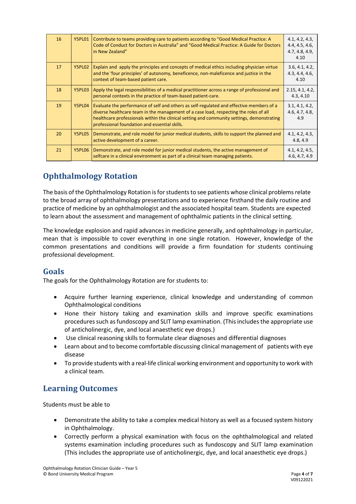| 16 | Y5PL01 | Contribute to teams providing care to patients according to "Good Medical Practice: A<br>Code of Conduct for Doctors in Australia" and "Good Medical Practice: A Guide for Doctors<br>in New Zealand"                                                                                                                            | 4.1, 4.2, 4.3,<br>4.4, 4.5, 4.6,<br>4.7, 4.8, 4.9,<br>4.10 |
|----|--------|----------------------------------------------------------------------------------------------------------------------------------------------------------------------------------------------------------------------------------------------------------------------------------------------------------------------------------|------------------------------------------------------------|
| 17 | Y5PL02 | Explain and apply the principles and concepts of medical ethics including physician virtue<br>and the 'four principles' of autonomy, beneficence, non-maleficence and justice in the<br>context of team-based patient care.                                                                                                      | 3.6, 4.1, 4.2,<br>4.3, 4.4, 4.6,<br>4.10                   |
| 18 | Y5PL03 | Apply the legal responsibilities of a medical practitioner across a range of professional and<br>personal contexts in the practice of team-based patient-care.                                                                                                                                                                   | 2.15, 4.1, 4.2,<br>4.3, 4.10                               |
| 19 | Y5PL04 | Evaluate the performance of self and others as self-regulated and effective members of a<br>diverse healthcare team in the management of a case load, respecting the roles of all<br>healthcare professionals within the clinical setting and community settings, demonstrating<br>professional foundation and essential skills. | 3.1, 4.1, 4.2,<br>4.6, 4.7, 4.8,<br>4.9                    |
| 20 | Y5PL05 | Demonstrate, and role model for junior medical students, skills to support the planned and<br>active development of a career.                                                                                                                                                                                                    | 4.1, 4.2, 4.3,<br>4.8, 4.9                                 |
| 21 | Y5PL06 | Demonstrate, and role model for junior medical students, the active management of<br>selfcare in a clinical environment as part of a clinical team managing patients.                                                                                                                                                            | 4.1, 4.2, 4.5,<br>4.6, 4.7, 4.9                            |

# **Ophthalmology Rotation**

The basis of the Ophthalmology Rotation is for students to see patients whose clinical problems relate to the broad array of ophthalmology presentations and to experience firsthand the daily routine and practice of medicine by an ophthalmologist and the associated hospital team. Students are expected to learn about the assessment and management of ophthalmic patients in the clinical setting.

The knowledge explosion and rapid advances in medicine generally, and ophthalmology in particular, mean that is impossible to cover everything in one single rotation. However, knowledge of the common presentations and conditions will provide a firm foundation for students continuing professional development.

#### **Goals**

The goals for the Ophthalmology Rotation are for students to:

- Acquire further learning experience, clinical knowledge and understanding of common Ophthalmological conditions
- Hone their history taking and examination skills and improve specific examinations proceduressuch asfundoscopy and SLIT lamp examination. (This includes the appropriate use of anticholinergic, dye, and local anaesthetic eye drops.)
- Use clinical reasoning skills to formulate clear diagnoses and differential diagnoses
- Learn about and to become comfortable discussing clinical management of patients with eye disease
- To provide students with a real-life clinical working environment and opportunity to work with a clinical team.

# **Learning Outcomes**

Students must be able to

- Demonstrate the ability to take a complex medical history as well as a focused system history in Ophthalmology.
- Correctly perform a physical examination with focus on the ophthalmological and related systems examination including procedures such as fundoscopy and SLIT lamp examination (This includes the appropriate use of anticholinergic, dye, and local anaesthetic eye drops.)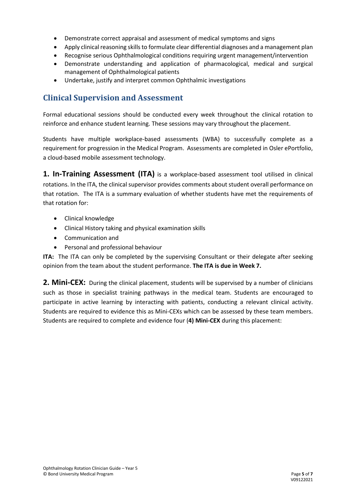- Demonstrate correct appraisal and assessment of medical symptoms and signs
- Apply clinical reasoning skills to formulate clear differential diagnoses and a management plan
- Recognise serious Ophthalmological conditions requiring urgent management/intervention
- Demonstrate understanding and application of pharmacological, medical and surgical management of Ophthalmological patients
- Undertake, justify and interpret common Ophthalmic investigations

### **Clinical Supervision and Assessment**

Formal educational sessions should be conducted every week throughout the clinical rotation to reinforce and enhance student learning. These sessions may vary throughout the placement.

Students have multiple workplace-based assessments (WBA) to successfully complete as a requirement for progression in the Medical Program. Assessments are completed in Osler ePortfolio, a cloud-based mobile assessment technology.

**1. In-Training Assessment (ITA)** is a workplace-based assessment tool utilised in clinical rotations. In the ITA, the clinical supervisor provides comments about student overall performance on that rotation. The ITA is a summary evaluation of whether students have met the requirements of that rotation for:

- Clinical knowledge
- Clinical History taking and physical examination skills
- Communication and
- Personal and professional behaviour

**ITA:** The ITA can only be completed by the supervising Consultant or their delegate after seeking opinion from the team about the student performance. **The ITA is due in Week 7.**

**2. Mini-CEX:** During the clinical placement, students will be supervised by a number of clinicians such as those in specialist training pathways in the medical team. Students are encouraged to participate in active learning by interacting with patients, conducting a relevant clinical activity. Students are required to evidence this as Mini-CEXs which can be assessed by these team members. Students are required to complete and evidence four (**4) Mini-CEX** during this placement: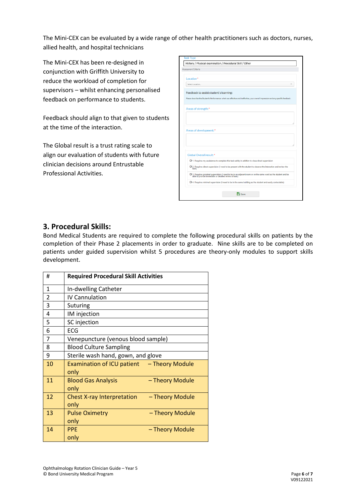The Mini-CEX can be evaluated by a wide range of other health practitioners such as doctors, nurses, allied health, and hospital technicians

The Mini-CEX has been re-designed in conjunction with Griffith University to reduce the workload of completion for supervisors – whilst enhancing personalised feedback on performance to students.

Feedback should align to that given to students at the time of the interaction.

The Global result is a trust rating scale to align our evaluation of students with future clinician decisions around Entrustable Professional Activities.

|                     | Assessment Criteria                                                                                                                                                     |
|---------------------|-------------------------------------------------------------------------------------------------------------------------------------------------------------------------|
| Location*           |                                                                                                                                                                         |
| Select Location     |                                                                                                                                                                         |
|                     | Feedback to assist student's learning:                                                                                                                                  |
|                     | Please describe the Student's Performance: what was effective and ineffective, your overall impression and any specific feedback.                                       |
| Areas of strength:* |                                                                                                                                                                         |
|                     |                                                                                                                                                                         |
|                     |                                                                                                                                                                         |
|                     |                                                                                                                                                                         |
|                     | Areas of development:*                                                                                                                                                  |
|                     |                                                                                                                                                                         |
|                     |                                                                                                                                                                         |
|                     |                                                                                                                                                                         |
|                     | Global Overall result:*                                                                                                                                                 |
|                     |                                                                                                                                                                         |
|                     | O 1. Requires my assistance to complete this task safely in addition to close direct supervision                                                                        |
| task)               | O 2. Requires direct supervision (I need to be present with the student to observe the interaction and review the                                                       |
|                     | O 3. Requires proximal supervision (I need to be in an adjacent room or on the same ward as the student and be<br>able to provide immediate or detailed review of task) |

#### **3. Procedural Skills:**

Bond Medical Students are required to complete the following procedural skills on patients by the completion of their Phase 2 placements in order to graduate. Nine skills are to be completed on patients under guided supervision whilst 5 procedures are theory-only modules to support skills development.

| #              | <b>Required Procedural Skill Activities</b>                  |
|----------------|--------------------------------------------------------------|
| $\mathbf{1}$   | In-dwelling Catheter                                         |
| $\overline{2}$ | <b>IV Cannulation</b>                                        |
| 3              | Suturing                                                     |
| 4              | IM injection                                                 |
| 5              | SC injection                                                 |
| 6              | <b>ECG</b>                                                   |
| 7              | Venepuncture (venous blood sample)                           |
| 8              | <b>Blood Culture Sampling</b>                                |
| 9              | Sterile wash hand, gown, and glove                           |
| 10             | Examination of ICU patient - Theory Module<br>only           |
| 11             | <b>Blood Gas Analysis</b><br>- Theory Module<br>only         |
| 12             | <b>Chest X-ray Interpretation</b><br>- Theory Module<br>only |
| 13             | <b>Pulse Oximetry</b><br>- Theory Module<br>only             |
| 14             | <b>PPE</b><br>- Theory Module<br>only                        |